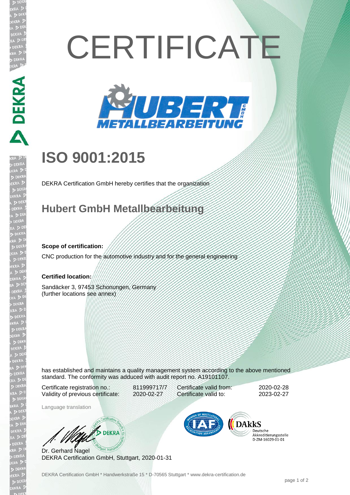# **CERTIFICATE**



## **ISO 9001:2015**

DEKRA Certification GmbH hereby certifies that the organization

### **Hubert GmbH Metallbearbeitung**

#### **Scope of certification:**

DEKRA E

CNC production for the automotive industry and for the general engineering

#### **Certified location:**

Sandäcker 3, 97453 Schonungen, Germany (further locations see annex)

has established and maintains a quality management system according to the above mentioned standard. The conformity was adduced with audit report no. A19101107.

Certificate registration no.: 811999717/7 Validity of previous certificate: 2020-02-27

Certificate valid from: 2020-02-28 Certificate valid to: 2023-02-27

Language translation

**B** DEKRA

Dr. Gerhard Nagel DEKRA Certification GmbH, Stuttgart, 2020-01-31



Deutsche Akkreditierungsstelle